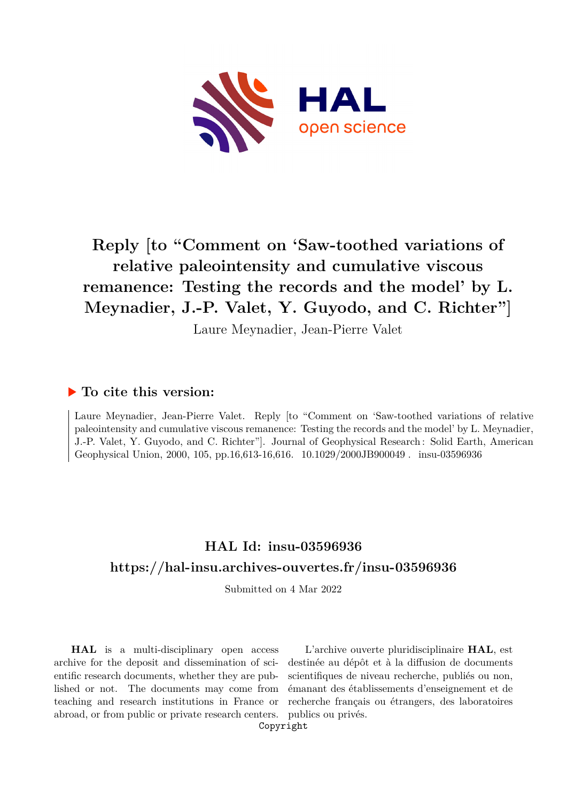

# **Reply [to "Comment on 'Saw-toothed variations of relative paleointensity and cumulative viscous remanence: Testing the records and the model' by L. Meynadier, J.-P. Valet, Y. Guyodo, and C. Richter"]**

Laure Meynadier, Jean-Pierre Valet

## **To cite this version:**

Laure Meynadier, Jean-Pierre Valet. Reply [to "Comment on 'Saw-toothed variations of relative paleointensity and cumulative viscous remanence: Testing the records and the model' by L. Meynadier, J.-P. Valet, Y. Guyodo, and C. Richter"]. Journal of Geophysical Research : Solid Earth, American Geophysical Union, 2000, 105, pp.16,613-16,616. 10.1029/2000JB900049. insu-03596936

## **HAL Id: insu-03596936 <https://hal-insu.archives-ouvertes.fr/insu-03596936>**

Submitted on 4 Mar 2022

**HAL** is a multi-disciplinary open access archive for the deposit and dissemination of scientific research documents, whether they are published or not. The documents may come from teaching and research institutions in France or abroad, or from public or private research centers.

L'archive ouverte pluridisciplinaire **HAL**, est destinée au dépôt et à la diffusion de documents scientifiques de niveau recherche, publiés ou non, émanant des établissements d'enseignement et de recherche français ou étrangers, des laboratoires publics ou privés.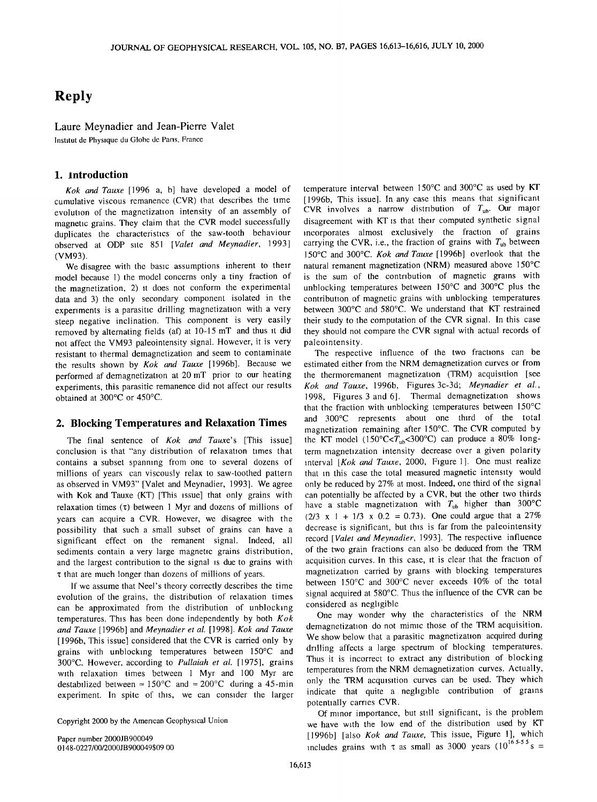### **Reply**

#### **Laure Meynadier and Jean-Pierre Valet**

**lnstitut de Physique du Globe de Paris, France** 

#### **1. Introduction**

**Kok and Tauxe [1996 a, b] have developed a model of cumulative viscous remanence (CVR) that describes the time evolution of the magnetization intensity of an assembly of magnetic grains. They claim that the CVR model successfully duplicates the characteristics of the saw-tooth behaviour observed at ODP site 851 [Valet and Meynadier, 1993] (VM93).** 

We disagree with the basic assumptions inherent to their **model because 1) the model concerns only a tiny fraction of**  the magnetization, 2) it does not conform the experimental data and 3) the only secondary component isolated in the **experiments ia parasitic drilling magnetization with a very steep negative inclination. This component is very easily removed by alternating fields (af) at 10-15 mT and thus it did not affect the VM93 paleointensity signal. However, it is very**  resistant to thermal demagnetization and seem to contaminate **the results shown by Kok and Tauxe [1996b]. Because we performed afdemagnetization at 20 mT prior to our heating**  experiments, this parasitic remanence did not affect our results **obtained at 300øC or 450øC.** 

#### **2. Blocking Temperatures and Relaxation Times**

**The final sentence of Kok and Tauxe's [This issue] conclusion is that "any distribution of relaxation times that contains a subset spanning from one to several dozens of millions of years can viscously relax to saw-toothed pattern as observed in VM93" [Valet and Meynadier, 1993]. We agree with Kok and Tauxe (KT) [This issue] that only grains with relaxation times (q:) between 1 Myr and dozens of millions of years can acquire a CVR. However, we disagree with the possibility that such a small subset of grains can have a significant effect on the remanent signal. Indeed, all sediments contain a very large magnetic grains distribution, and the largest contribution to the signal is due to grains with q: that are much longer than dozens of millions of years.** 

**If we assume that Neel's theory correctly describes the time evolution of the grains, the distribution of relaxation times can be approximated from the distribution of unblocking temperatures. This has been done independently by both Kok and Tauxe [1996b] and Meynadier et al. [1998]. Kok and Tauxe [1996b, This issue] considered that the CVR is carried only by grains with unblocking temperatures between 150øC and 300øC. However, according to Pullaiah et al. [1975], grains with relaxation times between 1 Myr and 100 Myr are**  destabilized between  $\approx 150^{\circ}\text{C}$  and  $\approx 200^{\circ}\text{C}$  during a 45-min **experiment. In spite of this, we can consider the larger** 

**Copyright 2000 by the American Geophysical Union.** 

**Paper number 2000JB900049 0148-0227/00/2000JB 900049509.00**  temperature interval between 150°C and 300°C as used by KT **[1996b, This issue]. In any case this means that significant**  CVR involves a narrow distribution of  $T_{ub}$ . Our major **disagreement with KT is that their computed synthetic signal incorporates almost exclusively the fraction of grains**  carrying the CVR, i.e., the fraction of grains with  $T_{ub}$  between **150øC and 300øC. Kok and Tauxe [1996b] overlook that the natural remanent magnetization (NRM) measured above 150øC is the sum of the contribution of magnetic grains with**  unblocking temperatures between 150°C and 300°C plus the **contribution of magnetic grains with unblocking temperatures**  between 300°C and 580°C. We understand that KT restrained **their study to the computation of the CVR signal. In this case they should not compare the CVR signal with actual records of paleointensity.** 

**The respective influence of the two fractions can be estimated either from the NRM demagnetization curves or from the thermoremanent magnetization (TRM) acquisition [see Kok and Tauxe, 1996b, Figures 3c-3d; Meynadier et al., 1998, Figures 3 and 6]. Thermal demagnetization shows that the fraction with unblocking temperatures between 150øC and 300øC represents about one third of the total magnetization remaining after 150øC. The CVR computed by**  the KT model (150°C<T<sub>ub</sub><300°C) can produce a 80% long**term magnetization intensity decrease over a given polarity interval [Kok and Tauxe, 2000, Figure 1]. One must realize that in this case the total measured magnetic intensity would only be reduced by 27% at most. Indeed, one third of the signal can potentially be affected by a CVR, but the other two thirds**  have a stable magnetization with  $T_{ub}$  higher than 300°C **(2/3 x I + 1/3 x 0.2 = 0.73). One could argue that a 27% decrease is significant, but this is far from the paleointensity record [Valet and Meynadier, 1993]. The respective influence of the two grain fractions can also be deduced from the TRM acquisition curves. In this case, it is clear that the fraction of magnetization carried by grains with blocking temperatures**  between 150°C and 300°C never exceeds 10% of the total signal acquired at 580°C. Thus the influence of the CVR can be **considered as negligible.** 

**One may wonder why the characteristics of the NRM demagnetization do not mimic those of the TRM acquisition.**  We show below that a parasitic magnetization acquired during **drilling affects a large spectrum of blocking temperatures. Thus it is incorrect to extract any distribution of blocking temperatures from the NRM demagnetization curves. Actually, only the TRM acquisition curves can be used. They which indicate that quite a negligible contribution of grains potentially carries CVR.** 

**Of minor importance, but still significant, is the problem we have with the low end of the distribution used by KT [1996b] [also Kok and Tauxe, This issue, Figure 1], which**  includes grains with  $\tau$  as small as 3000 years (10<sup>165-55</sup> s =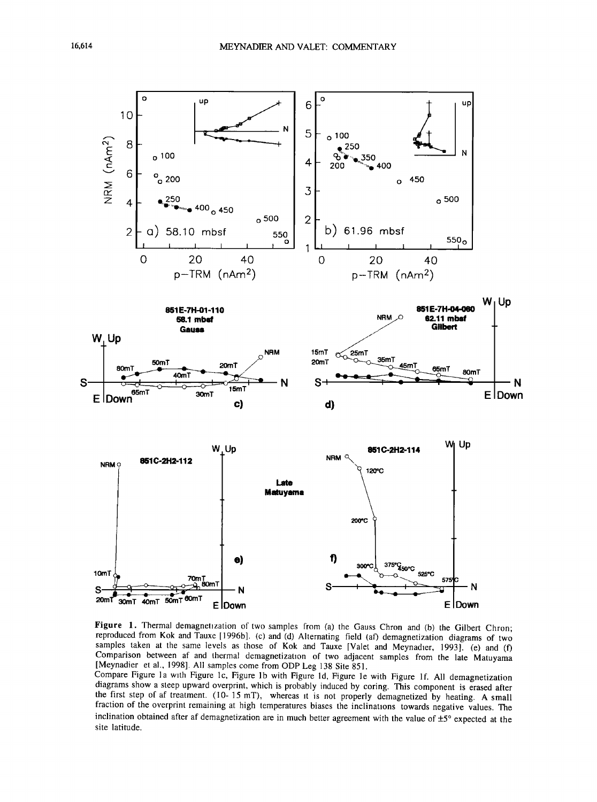

Figure 1. Thermal demagnetization of two samples from (a) the Gauss Chron and (b) the Gilbert Chron; reproduced from Kok and Tauxe [1996b]. (c) and (d) Alternating field (af) demagnetization diagrams of two samples taken at the same levels as those of Kok and Tauxe [Valet and Meynadier, 1993]. (e) and (f) Comparison between af and thermal demagnetization of two adjacent samples from the late Matuyama [Meynadier et al., 1998]. All samples come from ODP Leg 138 Site 851.

Compare Figure 1a with Figure 1c, Figure 1b with Figure 1d, Figure 1e with Figure 1f. All demagnetization diagrams show a steep upward overprint, which is probably induced by coring. This component is erased after the first step of af treatment. (10-15 mT), whereas it is not properly demagnetized by heating. A small fraction of the overprint remaining at high temperatures biases the inclinations towards negative values. The inclination obtained after af demagnetization are in much better agreement with the value of  $\pm 5^{\circ}$  expected at the site latitude.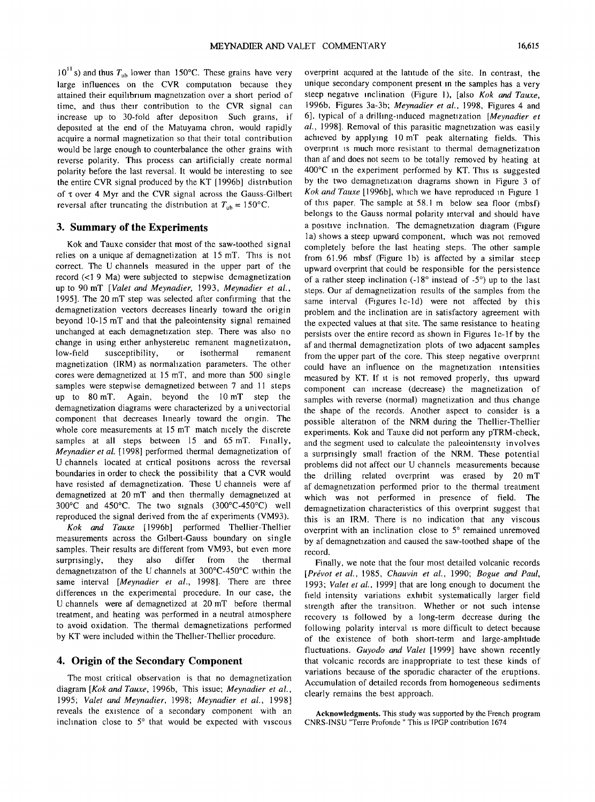$10^{11}$  s) and thus  $T_{ub}$  lower than 150°C. These grains have very **large influences on the CVR computation because they attained their equilibrium magnetization over a short period of time, and thus their contribution to the CVR signal can increase up to 30-fold after deposition. Such grains, if deposited at the end of the Matuyama chron, would rapidly acquire a normal magnetization so that their total contribution would be large enough to counterbalance the other grains with reverse polarity. This process can artificially create normal polarity before the last reversal. It would be interesting to see the entire CVR signal produced by the KT [1996b] distribution**  of  $\tau$  over 4 Myr and the CVR signal across the Gauss-Gilbert reversal after truncating the distribution at  $T_{ub} = 150^{\circ}$ C.

#### **3. Summary of the Experiments**

**Kok and Tauxe consider that most of the saw-toothed signal relies on a unique af demagnetization at 15 mT. This is not correct. The U channels measured in the upper part of the**  record (<1.9 Ma) were subjected to stepwise demagnetization **up to 90 mT [Valet and Meynadier, 1993, Meynadier et al., 1995]. The 20 mT step was selected after confirming that the demagnetization vectors decreases linearly toward the origin beyond 10-15 mT and that the paleointensity signal remained unchanged at each demagnetization step. There was also no**  change in using either anhysteretic remanent magnetization,<br>low-field susceptibility, or isothermal remanent susceptibility, **magnetization (IRM) as normalization parameters. The other cores were demagnetized at 15 mT, and more than 500 single samples were stepwise demagnetized between 7 and 11 steps up to 80 mT. Again, beyond the 10 mT step the demagnetization diagrams were characterized by a univectorial component that decreases linearly toward the origin. The whole core measurements at 15 mT match nicely the discrete samples at all steps between 15 and 65 mT. Finally, Meynadier et al. [1998] performed thermal demagnetization of U channels located at critical positions across the reversal boundaries in order to check the possibility that a CVR would have resisted af demagnetization. These U channels were af demagnetized at 20 mT and then thermally demagnetized at**  300°C and 450°C. The two signals (300°C-450°C) well **reproduced the signal derived from the af experiments (VM93).** 

**Kok and Tauxe [1996b] performed Thellier-Thellier measurements across the Gilbert-Gauss boundary on single samples. Their results are different from VM93, but even more surprisingly, they also differ from the thermal** surprisingly, demagnetization of the U channels at 300°C-450°C within the **same interval [Meynadier et al., 1998]. There are three differences in the experimental procedure. In our case, the U channels were af demagnetized at 20 mT before thermal treatment, and heating was performed in a neutral atmosphere to avoid oxidation. The thermal demagnetizations performed by KT were included within the Thellier-Thellier procedure.** 

#### **4. Origin of the Secondary Component**

**The most critical observation is that no demagnetization diagram [Kok and Tauxe, 1996b, This issue; Meynadier et al., 1995; Valet and Meynadier, 1998; Meynadier et al., 1998] reveals the existence of a secondary component with an**  inclination close to 5<sup>°</sup> that would be expected with viscous

**overprint acquired at the latitude of the site. In contrast, the unique secondary component present in the samples has a very steep negative inclination (Figure 1), [also Kok and Tauxe, 1996b, Figures 3a-3b; Meynadier et al., 1998, Figures 4 and 6], typical of a drilling-induced magnetization [Meynadier et al., 1998]. Removal of this parasitic magnetization was easily achieved by applying 10 mT peak alternating fields. This overprint is much more resistant to thermal demagnetization than af and does not seem to be totally removed by heating at 400øC in the experiment performed by KT. This is suggested by the two demagnetization diagrams shown in Figure 3 of Kok and Tauxe [1996b], which we have reproduced in Figure 1 of this paper. The sample at 58.1 m below sea floor (mbsf) belongs to the Gauss normal polarity interval and should have a positive inclination. The demagnetization diagram (Figure l a) shows a steep upward component, which was not removed completely before the last heating steps. The other sample from 61.96 mbsf (Figure lb) is affected by a similar steep upward overprint that could be responsible for the persistence**  of a rather steep inclination (-18° instead of -5°) up to the last **steps. Our af demagnetization results of the samples from the same interval (Figures lc-ld) were not affected by this problem and the inclination are in satisfactory agreement with the expected values at that site. The same resistance to heating persists over the entire record as shown in Figures 1e-1f by the af and thermal demagnetization plots of two adjacent samples from the upper part of the core. This steep negative overprint could have an influence on the magnetization intensities measured by KT. If it is not removed properly, this upward component can increase (decrease) the magnetization of samples with reverse (normal) magnetization and thus change the shape of the records. Another aspect to consider is a possible alteration of the NRM during the Thellier-Thellier experiments. Kok and Tauxe did not perform any pTRM-check, and the segment used to calculate the paleointensity involves a surprisingly small fraction of the NRM. These potential problems did not affect our U channels measurements because the drilling related overprint was erased by 20 mT af demagnetization performed prior to the thermal treatment which was not performed in presence of field. The demagnetization characteristics of this overprint suggest that this is an IRM. There is no indication that any viscous**  overprint with an inclination close to 5° remained unremoved **by af demagnetization and caused the saw-toothed shape of the record.** 

**Finally, we note that the four most detailed volcanic records**  [Prévot et al., 1985, Chauvin et al., 1990; Bogue and Paul, **1993; Valet et al., 1999] that are long enough to document the field intensity variations exhibit systematically larger field strength after the transition. Whether or not such intense recovery is followed by a long-term decrease during the following polarity interval is more difficult to detect because of the existence of both short-term and large-amplitude fluctuations. Guyodo and Valet [1999] have shown recently that volcanic records are inappropriate to test these kinds of variations because of the sporadic character of the eruptions. Accumulation of detailed records from homogeneous sediments clearly remains the best approach.** 

**Acknowledgments. This study was supported by the French program CNRS-INSU "Terre Profonde." This is IPGP contribution 1674.**